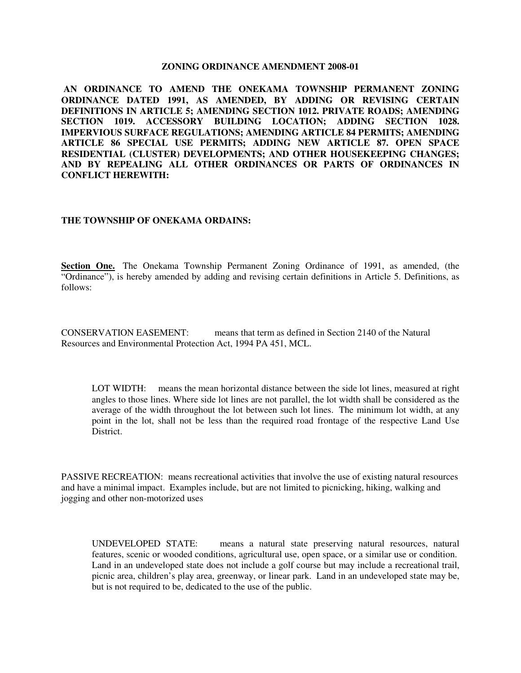#### **ZONING ORDINANCE AMENDMENT 2008-01**

**AN ORDINANCE TO AMEND THE ONEKAMA TOWNSHIP PERMANENT ZONING ORDINANCE DATED 1991, AS AMENDED, BY ADDING OR REVISING CERTAIN DEFINITIONS IN ARTICLE 5; AMENDING SECTION 1012. PRIVATE ROADS; AMENDING SECTION 1019. ACCESSORY BUILDING LOCATION; ADDING SECTION 1028. IMPERVIOUS SURFACE REGULATIONS; AMENDING ARTICLE 84 PERMITS; AMENDING ARTICLE 86 SPECIAL USE PERMITS; ADDING NEW ARTICLE 87. OPEN SPACE RESIDENTIAL (CLUSTER) DEVELOPMENTS; AND OTHER HOUSEKEEPING CHANGES; AND BY REPEALING ALL OTHER ORDINANCES OR PARTS OF ORDINANCES IN CONFLICT HEREWITH:**

#### **THE TOWNSHIP OF ONEKAMA ORDAINS:**

**Section One.** The Onekama Township Permanent Zoning Ordinance of 1991, as amended, (the "Ordinance"), is hereby amended by adding and revising certain definitions in Article 5. Definitions, as follows:

CONSERVATION EASEMENT: means that term as defined in Section 2140 of the Natural Resources and Environmental Protection Act, 1994 PA 451, MCL.

LOT WIDTH: means the mean horizontal distance between the side lot lines, measured at right angles to those lines. Where side lot lines are not parallel, the lot width shall be considered as the average of the width throughout the lot between such lot lines. The minimum lot width, at any point in the lot, shall not be less than the required road frontage of the respective Land Use District.

PASSIVE RECREATION: means recreational activities that involve the use of existing natural resources and have a minimal impact. Examples include, but are not limited to picnicking, hiking, walking and jogging and other non-motorized uses

UNDEVELOPED STATE: means a natural state preserving natural resources, natural features, scenic or wooded conditions, agricultural use, open space, or a similar use or condition. Land in an undeveloped state does not include a golf course but may include a recreational trail, picnic area, children's play area, greenway, or linear park. Land in an undeveloped state may be, but is not required to be, dedicated to the use of the public.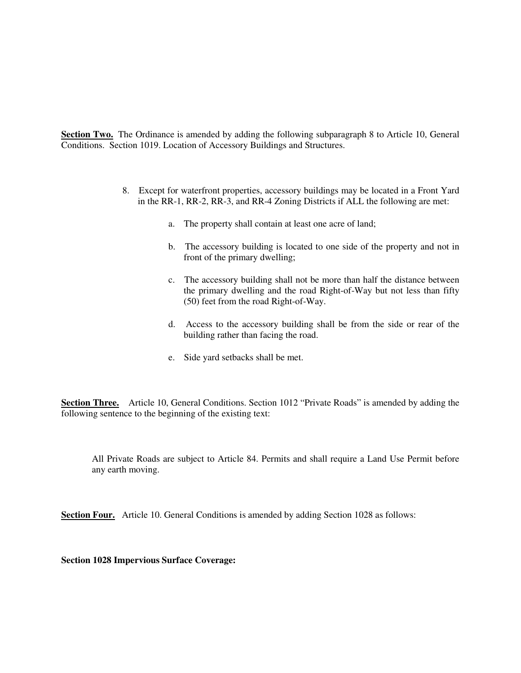**Section Two.** The Ordinance is amended by adding the following subparagraph 8 to Article 10, General Conditions. Section 1019. Location of Accessory Buildings and Structures.

- 8. Except for waterfront properties, accessory buildings may be located in a Front Yard in the RR-1, RR-2, RR-3, and RR-4 Zoning Districts if ALL the following are met:
	- a. The property shall contain at least one acre of land;
	- b. The accessory building is located to one side of the property and not in front of the primary dwelling;
	- c. The accessory building shall not be more than half the distance between the primary dwelling and the road Right-of-Way but not less than fifty (50) feet from the road Right-of-Way.
	- d. Access to the accessory building shall be from the side or rear of the building rather than facing the road.
	- e. Side yard setbacks shall be met.

**Section Three.** Article 10, General Conditions. Section 1012 "Private Roads" is amended by adding the following sentence to the beginning of the existing text:

All Private Roads are subject to Article 84. Permits and shall require a Land Use Permit before any earth moving.

**Section Four.** Article 10. General Conditions is amended by adding Section 1028 as follows:

**Section 1028 Impervious Surface Coverage:**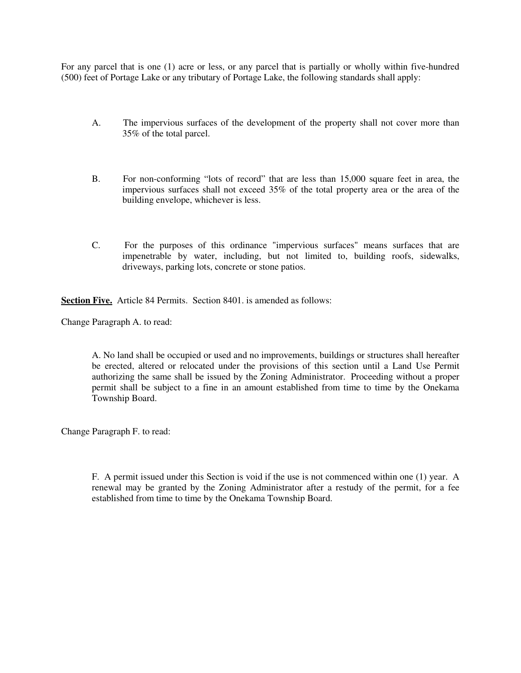For any parcel that is one (1) acre or less, or any parcel that is partially or wholly within five-hundred (500) feet of Portage Lake or any tributary of Portage Lake, the following standards shall apply:

- A. The impervious surfaces of the development of the property shall not cover more than 35% of the total parcel.
- B. For non-conforming "lots of record" that are less than 15,000 square feet in area, the impervious surfaces shall not exceed 35% of the total property area or the area of the building envelope, whichever is less.
- C. For the purposes of this ordinance "impervious surfaces" means surfaces that are impenetrable by water, including, but not limited to, building roofs, sidewalks, driveways, parking lots, concrete or stone patios.

**Section Five.** Article 84 Permits. Section 8401. is amended as follows:

Change Paragraph A. to read:

A. No land shall be occupied or used and no improvements, buildings or structures shall hereafter be erected, altered or relocated under the provisions of this section until a Land Use Permit authorizing the same shall be issued by the Zoning Administrator. Proceeding without a proper permit shall be subject to a fine in an amount established from time to time by the Onekama Township Board.

Change Paragraph F. to read:

F. A permit issued under this Section is void if the use is not commenced within one (1) year. A renewal may be granted by the Zoning Administrator after a restudy of the permit, for a fee established from time to time by the Onekama Township Board.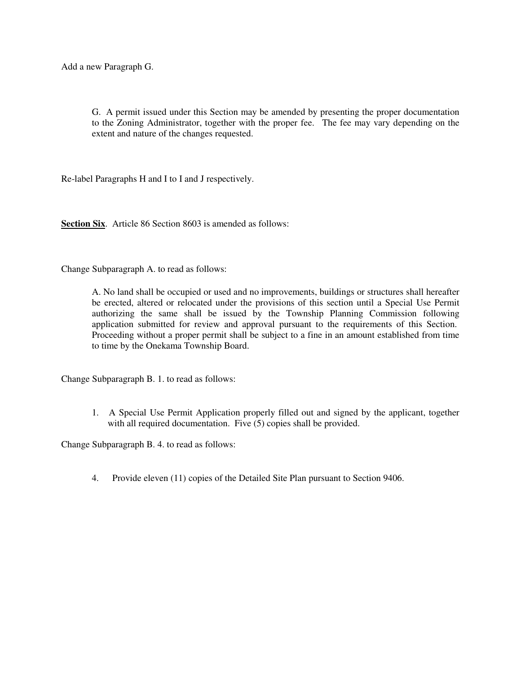Add a new Paragraph G.

G. A permit issued under this Section may be amended by presenting the proper documentation to the Zoning Administrator, together with the proper fee. The fee may vary depending on the extent and nature of the changes requested.

Re-label Paragraphs H and I to I and J respectively.

**Section Six.** Article 86 Section 8603 is amended as follows:

Change Subparagraph A. to read as follows:

A. No land shall be occupied or used and no improvements, buildings or structures shall hereafter be erected, altered or relocated under the provisions of this section until a Special Use Permit authorizing the same shall be issued by the Township Planning Commission following application submitted for review and approval pursuant to the requirements of this Section. Proceeding without a proper permit shall be subject to a fine in an amount established from time to time by the Onekama Township Board.

Change Subparagraph B. 1. to read as follows:

1. A Special Use Permit Application properly filled out and signed by the applicant, together with all required documentation. Five (5) copies shall be provided.

Change Subparagraph B. 4. to read as follows:

4. Provide eleven (11) copies of the Detailed Site Plan pursuant to Section 9406.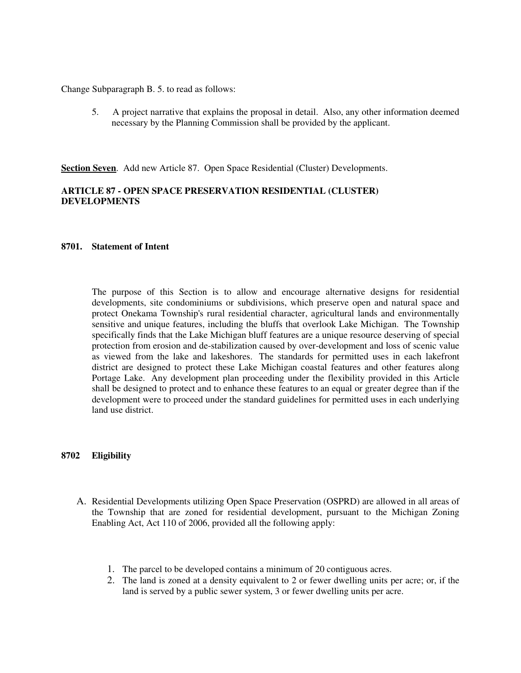Change Subparagraph B. 5. to read as follows:

5. A project narrative that explains the proposal in detail. Also, any other information deemed necessary by the Planning Commission shall be provided by the applicant.

**Section Seven**. Add new Article 87. Open Space Residential (Cluster) Developments.

#### **ARTICLE 87 - OPEN SPACE PRESERVATION RESIDENTIAL (CLUSTER) DEVELOPMENTS**

#### **8701. Statement of Intent**

The purpose of this Section is to allow and encourage alternative designs for residential developments, site condominiums or subdivisions, which preserve open and natural space and protect Onekama Township's rural residential character, agricultural lands and environmentally sensitive and unique features, including the bluffs that overlook Lake Michigan. The Township specifically finds that the Lake Michigan bluff features are a unique resource deserving of special protection from erosion and de-stabilization caused by over-development and loss of scenic value as viewed from the lake and lakeshores. The standards for permitted uses in each lakefront district are designed to protect these Lake Michigan coastal features and other features along Portage Lake. Any development plan proceeding under the flexibility provided in this Article shall be designed to protect and to enhance these features to an equal or greater degree than if the development were to proceed under the standard guidelines for permitted uses in each underlying land use district.

#### **8702 Eligibility**

- A. Residential Developments utilizing Open Space Preservation (OSPRD) are allowed in all areas of the Township that are zoned for residential development, pursuant to the Michigan Zoning Enabling Act, Act 110 of 2006, provided all the following apply:
	- 1. The parcel to be developed contains a minimum of 20 contiguous acres.
	- 2. The land is zoned at a density equivalent to 2 or fewer dwelling units per acre; or, if the land is served by a public sewer system, 3 or fewer dwelling units per acre.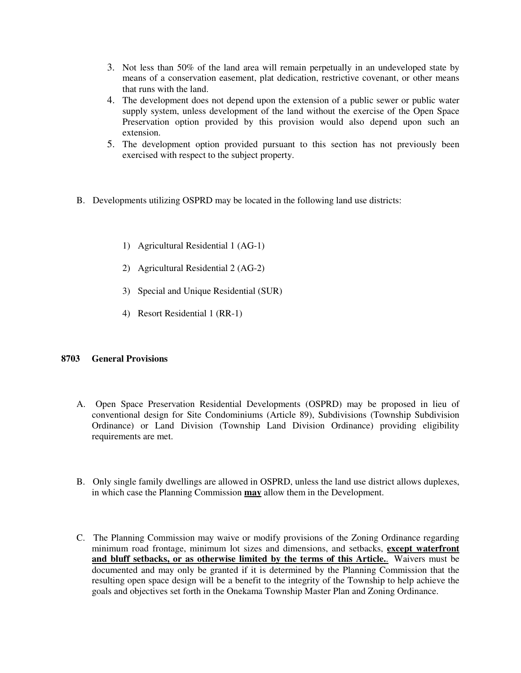- 3. Not less than 50% of the land area will remain perpetually in an undeveloped state by means of a conservation easement, plat dedication, restrictive covenant, or other means that runs with the land.
- 4. The development does not depend upon the extension of a public sewer or public water supply system, unless development of the land without the exercise of the Open Space Preservation option provided by this provision would also depend upon such an extension.
- 5. The development option provided pursuant to this section has not previously been exercised with respect to the subject property.
- B. Developments utilizing OSPRD may be located in the following land use districts:
	- 1) Agricultural Residential 1 (AG-1)
	- 2) Agricultural Residential 2 (AG-2)
	- 3) Special and Unique Residential (SUR)
	- 4) Resort Residential 1 (RR-1)

## **8703 General Provisions**

- A. Open Space Preservation Residential Developments (OSPRD) may be proposed in lieu of conventional design for Site Condominiums (Article 89), Subdivisions (Township Subdivision Ordinance) or Land Division (Township Land Division Ordinance) providing eligibility requirements are met.
- B. Only single family dwellings are allowed in OSPRD, unless the land use district allows duplexes, in which case the Planning Commission **may** allow them in the Development.
- C. The Planning Commission may waive or modify provisions of the Zoning Ordinance regarding minimum road frontage, minimum lot sizes and dimensions, and setbacks, **except waterfront and bluff setbacks, or as otherwise limited by the terms of this Article.**. Waivers must be documented and may only be granted if it is determined by the Planning Commission that the resulting open space design will be a benefit to the integrity of the Township to help achieve the goals and objectives set forth in the Onekama Township Master Plan and Zoning Ordinance.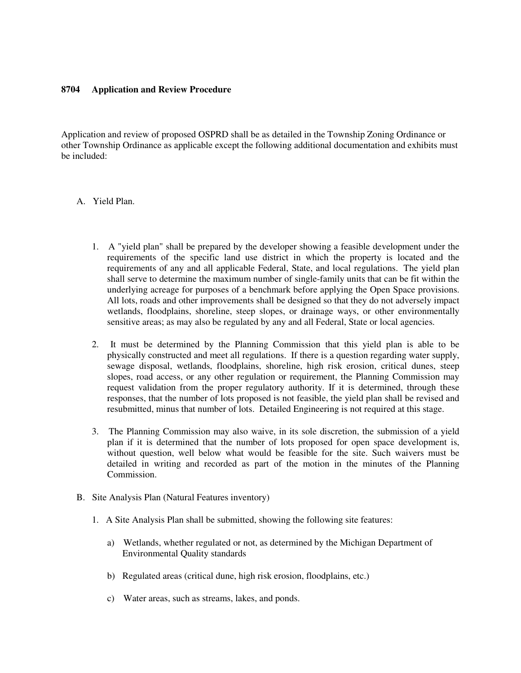#### **8704 Application and Review Procedure**

Application and review of proposed OSPRD shall be as detailed in the Township Zoning Ordinance or other Township Ordinance as applicable except the following additional documentation and exhibits must be included:

## A. Yield Plan.

- 1. A "yield plan" shall be prepared by the developer showing a feasible development under the requirements of the specific land use district in which the property is located and the requirements of any and all applicable Federal, State, and local regulations. The yield plan shall serve to determine the maximum number of single-family units that can be fit within the underlying acreage for purposes of a benchmark before applying the Open Space provisions. All lots, roads and other improvements shall be designed so that they do not adversely impact wetlands, floodplains, shoreline, steep slopes, or drainage ways, or other environmentally sensitive areas; as may also be regulated by any and all Federal, State or local agencies.
- 2. It must be determined by the Planning Commission that this yield plan is able to be physically constructed and meet all regulations. If there is a question regarding water supply, sewage disposal, wetlands, floodplains, shoreline, high risk erosion, critical dunes, steep slopes, road access, or any other regulation or requirement, the Planning Commission may request validation from the proper regulatory authority. If it is determined, through these responses, that the number of lots proposed is not feasible, the yield plan shall be revised and resubmitted, minus that number of lots. Detailed Engineering is not required at this stage.
- 3. The Planning Commission may also waive, in its sole discretion, the submission of a yield plan if it is determined that the number of lots proposed for open space development is, without question, well below what would be feasible for the site. Such waivers must be detailed in writing and recorded as part of the motion in the minutes of the Planning Commission.
- B. Site Analysis Plan (Natural Features inventory)
	- 1. A Site Analysis Plan shall be submitted, showing the following site features:
		- a) Wetlands, whether regulated or not, as determined by the Michigan Department of Environmental Quality standards
		- b) Regulated areas (critical dune, high risk erosion, floodplains, etc.)
		- c) Water areas, such as streams, lakes, and ponds.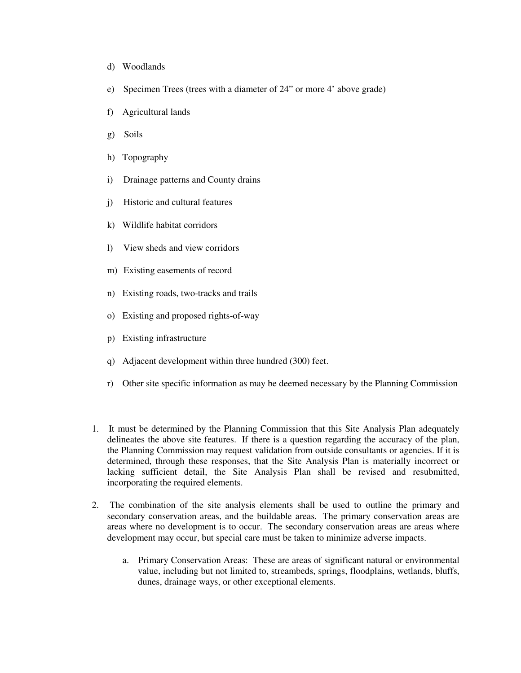- d) Woodlands
- e) Specimen Trees (trees with a diameter of 24" or more 4' above grade)
- f) Agricultural lands
- g) Soils
- h) Topography
- i) Drainage patterns and County drains
- j) Historic and cultural features
- k) Wildlife habitat corridors
- l) View sheds and view corridors
- m) Existing easements of record
- n) Existing roads, two-tracks and trails
- o) Existing and proposed rights-of-way
- p) Existing infrastructure
- q) Adjacent development within three hundred (300) feet.
- r) Other site specific information as may be deemed necessary by the Planning Commission
- 1. It must be determined by the Planning Commission that this Site Analysis Plan adequately delineates the above site features. If there is a question regarding the accuracy of the plan, the Planning Commission may request validation from outside consultants or agencies. If it is determined, through these responses, that the Site Analysis Plan is materially incorrect or lacking sufficient detail, the Site Analysis Plan shall be revised and resubmitted, incorporating the required elements.
- 2. The combination of the site analysis elements shall be used to outline the primary and secondary conservation areas, and the buildable areas. The primary conservation areas are areas where no development is to occur. The secondary conservation areas are areas where development may occur, but special care must be taken to minimize adverse impacts.
	- a. Primary Conservation Areas: These are areas of significant natural or environmental value, including but not limited to, streambeds, springs, floodplains, wetlands, bluffs, dunes, drainage ways, or other exceptional elements.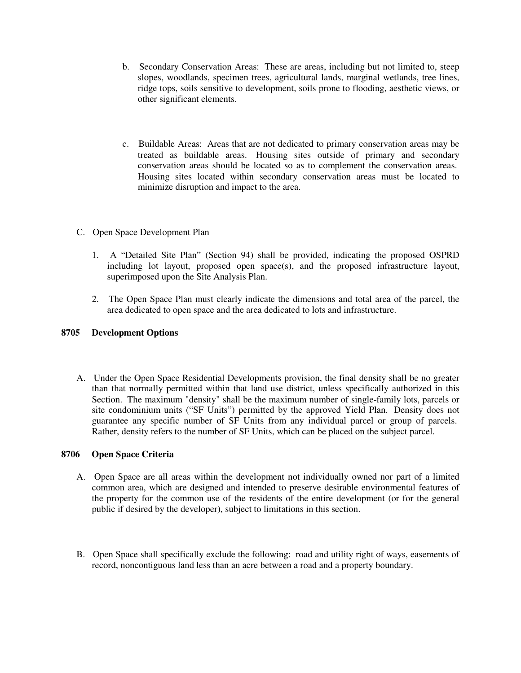- b. Secondary Conservation Areas: These are areas, including but not limited to, steep slopes, woodlands, specimen trees, agricultural lands, marginal wetlands, tree lines, ridge tops, soils sensitive to development, soils prone to flooding, aesthetic views, or other significant elements.
- c. Buildable Areas: Areas that are not dedicated to primary conservation areas may be treated as buildable areas. Housing sites outside of primary and secondary conservation areas should be located so as to complement the conservation areas. Housing sites located within secondary conservation areas must be located to minimize disruption and impact to the area.
- C. Open Space Development Plan
	- 1. A "Detailed Site Plan" (Section 94) shall be provided, indicating the proposed OSPRD including lot layout, proposed open space(s), and the proposed infrastructure layout, superimposed upon the Site Analysis Plan.
	- 2. The Open Space Plan must clearly indicate the dimensions and total area of the parcel, the area dedicated to open space and the area dedicated to lots and infrastructure.

## **8705 Development Options**

A. Under the Open Space Residential Developments provision, the final density shall be no greater than that normally permitted within that land use district, unless specifically authorized in this Section. The maximum "density" shall be the maximum number of single-family lots, parcels or site condominium units ("SF Units") permitted by the approved Yield Plan. Density does not guarantee any specific number of SF Units from any individual parcel or group of parcels. Rather, density refers to the number of SF Units, which can be placed on the subject parcel.

## **8706 Open Space Criteria**

- A. Open Space are all areas within the development not individually owned nor part of a limited common area, which are designed and intended to preserve desirable environmental features of the property for the common use of the residents of the entire development (or for the general public if desired by the developer), subject to limitations in this section.
- B. Open Space shall specifically exclude the following: road and utility right of ways, easements of record, noncontiguous land less than an acre between a road and a property boundary.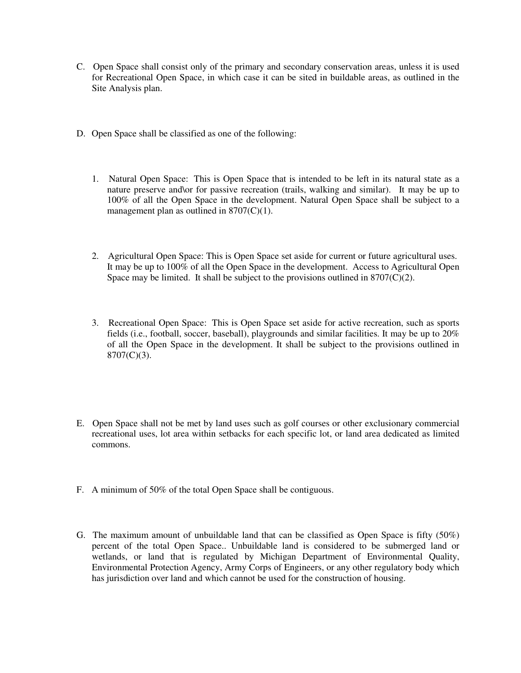- C. Open Space shall consist only of the primary and secondary conservation areas, unless it is used for Recreational Open Space, in which case it can be sited in buildable areas, as outlined in the Site Analysis plan.
- D. Open Space shall be classified as one of the following:
	- 1. Natural Open Space: This is Open Space that is intended to be left in its natural state as a nature preserve and\or for passive recreation (trails, walking and similar). It may be up to 100% of all the Open Space in the development. Natural Open Space shall be subject to a management plan as outlined in  $8707(C)(1)$ .
	- 2. Agricultural Open Space: This is Open Space set aside for current or future agricultural uses. It may be up to 100% of all the Open Space in the development. Access to Agricultural Open Space may be limited. It shall be subject to the provisions outlined in  $8707(C)(2)$ .
	- 3. Recreational Open Space: This is Open Space set aside for active recreation, such as sports fields (i.e., football, soccer, baseball), playgrounds and similar facilities. It may be up to 20% of all the Open Space in the development. It shall be subject to the provisions outlined in  $8707(C)(3)$ .
- E. Open Space shall not be met by land uses such as golf courses or other exclusionary commercial recreational uses, lot area within setbacks for each specific lot, or land area dedicated as limited commons.
- F. A minimum of 50% of the total Open Space shall be contiguous.
- G. The maximum amount of unbuildable land that can be classified as Open Space is fifty (50%) percent of the total Open Space.. Unbuildable land is considered to be submerged land or wetlands, or land that is regulated by Michigan Department of Environmental Quality, Environmental Protection Agency, Army Corps of Engineers, or any other regulatory body which has jurisdiction over land and which cannot be used for the construction of housing.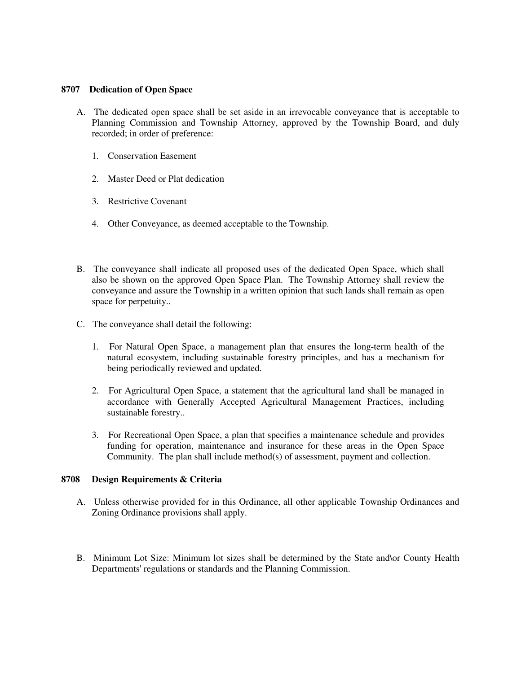#### **8707 Dedication of Open Space**

- A. The dedicated open space shall be set aside in an irrevocable conveyance that is acceptable to Planning Commission and Township Attorney, approved by the Township Board, and duly recorded; in order of preference:
	- 1. Conservation Easement
	- 2. Master Deed or Plat dedication
	- 3. Restrictive Covenant
	- 4. Other Conveyance, as deemed acceptable to the Township.
- B. The conveyance shall indicate all proposed uses of the dedicated Open Space, which shall also be shown on the approved Open Space Plan. The Township Attorney shall review the conveyance and assure the Township in a written opinion that such lands shall remain as open space for perpetuity..
- C. The conveyance shall detail the following:
	- 1. For Natural Open Space, a management plan that ensures the long-term health of the natural ecosystem, including sustainable forestry principles, and has a mechanism for being periodically reviewed and updated.
	- 2. For Agricultural Open Space, a statement that the agricultural land shall be managed in accordance with Generally Accepted Agricultural Management Practices, including sustainable forestry..
	- 3. For Recreational Open Space, a plan that specifies a maintenance schedule and provides funding for operation, maintenance and insurance for these areas in the Open Space Community. The plan shall include method(s) of assessment, payment and collection.

## **8708 Design Requirements & Criteria**

- A. Unless otherwise provided for in this Ordinance, all other applicable Township Ordinances and Zoning Ordinance provisions shall apply.
- B. Minimum Lot Size: Minimum lot sizes shall be determined by the State and\or County Health Departments' regulations or standards and the Planning Commission.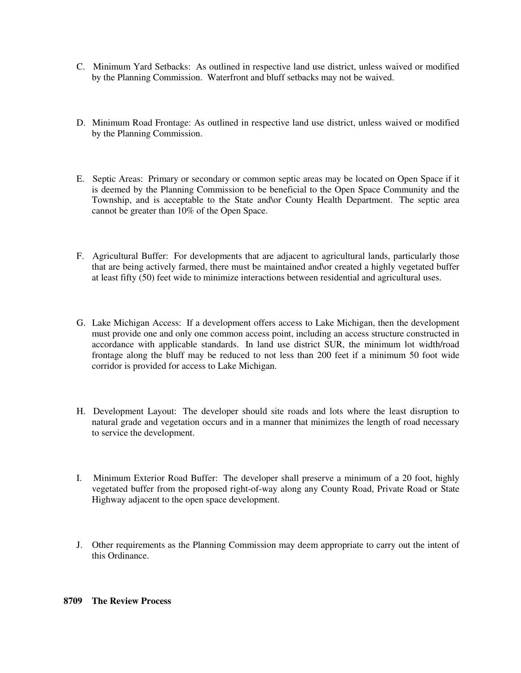- C. Minimum Yard Setbacks: As outlined in respective land use district, unless waived or modified by the Planning Commission. Waterfront and bluff setbacks may not be waived.
- D. Minimum Road Frontage: As outlined in respective land use district, unless waived or modified by the Planning Commission.
- E. Septic Areas: Primary or secondary or common septic areas may be located on Open Space if it is deemed by the Planning Commission to be beneficial to the Open Space Community and the Township, and is acceptable to the State and\or County Health Department. The septic area cannot be greater than 10% of the Open Space.
- F. Agricultural Buffer: For developments that are adjacent to agricultural lands, particularly those that are being actively farmed, there must be maintained and\or created a highly vegetated buffer at least fifty (50) feet wide to minimize interactions between residential and agricultural uses.
- G. Lake Michigan Access: If a development offers access to Lake Michigan, then the development must provide one and only one common access point, including an access structure constructed in accordance with applicable standards. In land use district SUR, the minimum lot width/road frontage along the bluff may be reduced to not less than 200 feet if a minimum 50 foot wide corridor is provided for access to Lake Michigan.
- H. Development Layout: The developer should site roads and lots where the least disruption to natural grade and vegetation occurs and in a manner that minimizes the length of road necessary to service the development.
- I. Minimum Exterior Road Buffer: The developer shall preserve a minimum of a 20 foot, highly vegetated buffer from the proposed right-of-way along any County Road, Private Road or State Highway adjacent to the open space development.
- J. Other requirements as the Planning Commission may deem appropriate to carry out the intent of this Ordinance.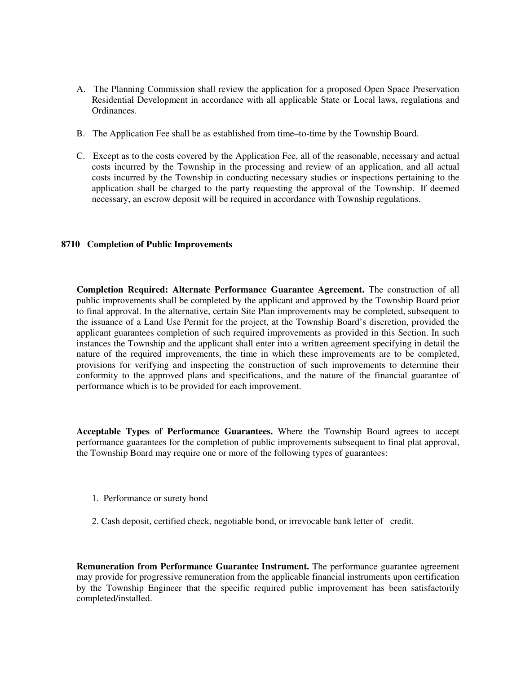- A. The Planning Commission shall review the application for a proposed Open Space Preservation Residential Development in accordance with all applicable State or Local laws, regulations and Ordinances.
- B. The Application Fee shall be as established from time–to-time by the Township Board.
- C. Except as to the costs covered by the Application Fee, all of the reasonable, necessary and actual costs incurred by the Township in the processing and review of an application, and all actual costs incurred by the Township in conducting necessary studies or inspections pertaining to the application shall be charged to the party requesting the approval of the Township. If deemed necessary, an escrow deposit will be required in accordance with Township regulations.

#### **8710 Completion of Public Improvements**

**Completion Required: Alternate Performance Guarantee Agreement.** The construction of all public improvements shall be completed by the applicant and approved by the Township Board prior to final approval. In the alternative, certain Site Plan improvements may be completed, subsequent to the issuance of a Land Use Permit for the project, at the Township Board's discretion, provided the applicant guarantees completion of such required improvements as provided in this Section. In such instances the Township and the applicant shall enter into a written agreement specifying in detail the nature of the required improvements, the time in which these improvements are to be completed, provisions for verifying and inspecting the construction of such improvements to determine their conformity to the approved plans and specifications, and the nature of the financial guarantee of performance which is to be provided for each improvement.

**Acceptable Types of Performance Guarantees.** Where the Township Board agrees to accept performance guarantees for the completion of public improvements subsequent to final plat approval, the Township Board may require one or more of the following types of guarantees:

- 1. Performance or surety bond
- 2. Cash deposit, certified check, negotiable bond, or irrevocable bank letter of credit.

**Remuneration from Performance Guarantee Instrument.** The performance guarantee agreement may provide for progressive remuneration from the applicable financial instruments upon certification by the Township Engineer that the specific required public improvement has been satisfactorily completed/installed.